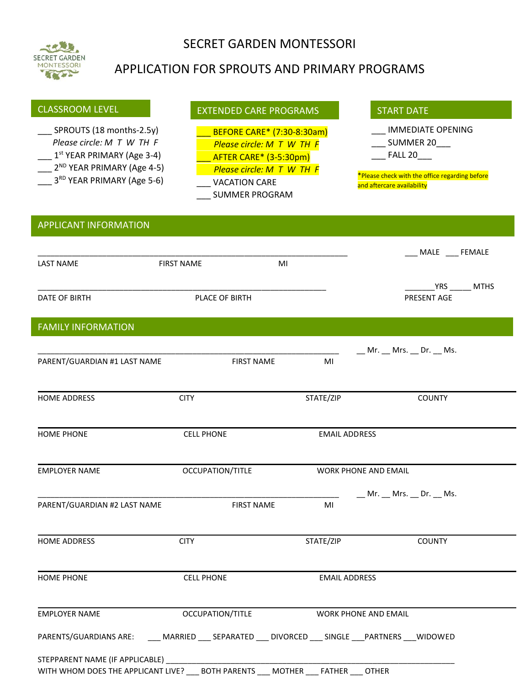

## SECRET GARDEN MONTESSORI

# APPLICATION FOR SPROUTS AND PRIMARY PROGRAMS

| <b>CLASSROOM LEVEL</b>                                                                                                                                                    | <b>EXTENDED CARE PROGRAMS</b>                                                                                                                            |                                | <b>START DATE</b>                                                                                                                             |
|---------------------------------------------------------------------------------------------------------------------------------------------------------------------------|----------------------------------------------------------------------------------------------------------------------------------------------------------|--------------------------------|-----------------------------------------------------------------------------------------------------------------------------------------------|
| SPROUTS (18 months-2.5y)<br>Please circle: M T W TH F<br>$1st$ YEAR PRIMARY (Age 3-4)<br>2 <sup>ND</sup> YEAR PRIMARY (Age 4-5)<br>3 <sup>RD</sup> YEAR PRIMARY (Age 5-6) | BEFORE CARE* (7:30-8:30am)<br>Please circle: M T W TH F<br>AFTER CARE* (3-5:30pm)<br>Please circle: M T W TH F<br><b>VACATION CARE</b><br>SUMMER PROGRAM |                                | <b>IMMEDIATE OPENING</b><br>__ SUMMER 20___<br><b>FALL 20</b><br>*Please check with the office regarding before<br>and aftercare availability |
| <b>APPLICANT INFORMATION</b>                                                                                                                                              |                                                                                                                                                          |                                |                                                                                                                                               |
| <b>LAST NAME</b>                                                                                                                                                          | <b>FIRST NAME</b>                                                                                                                                        | MI                             | MALE __ FEMALE                                                                                                                                |
| DATE OF BIRTH                                                                                                                                                             | PLACE OF BIRTH                                                                                                                                           |                                | <b>YRS</b><br><b>MTHS</b><br>PRESENT AGE                                                                                                      |
| <b>FAMILY INFORMATION</b>                                                                                                                                                 |                                                                                                                                                          |                                |                                                                                                                                               |
| PARENT/GUARDIAN #1 LAST NAME                                                                                                                                              | <b>FIRST NAME</b>                                                                                                                                        | MI                             | __ Mr. __ Mrs. __ Dr. __ Ms.                                                                                                                  |
| <b>HOME ADDRESS</b>                                                                                                                                                       | <b>CITY</b>                                                                                                                                              | STATE/ZIP                      | <b>COUNTY</b>                                                                                                                                 |
| <b>HOME PHONE</b>                                                                                                                                                         | <b>CELL PHONE</b>                                                                                                                                        | <b>EMAIL ADDRESS</b>           |                                                                                                                                               |
| <b>EMPLOYER NAME</b>                                                                                                                                                      | OCCUPATION/TITLE                                                                                                                                         |                                | <b>WORK PHONE AND EMAIL</b>                                                                                                                   |
| PARENT/GUARDIAN #2 LAST NAME                                                                                                                                              | <b>FIRST NAME</b>                                                                                                                                        | MI                             | $Mr.$ Mrs. Dr. Ms.                                                                                                                            |
| <b>HOME ADDRESS</b>                                                                                                                                                       | <b>CITY</b>                                                                                                                                              | STATE/ZIP                      | <b>COUNTY</b>                                                                                                                                 |
| <b>HOME PHONE</b>                                                                                                                                                         | <b>CELL PHONE</b>                                                                                                                                        | <b>EMAIL ADDRESS</b>           |                                                                                                                                               |
| <b>EMPLOYER NAME</b>                                                                                                                                                      | OCCUPATION/TITLE                                                                                                                                         |                                | <b>WORK PHONE AND EMAIL</b>                                                                                                                   |
| PARENTS/GUARDIANS ARE:                                                                                                                                                    | ____ MARRIED ____ SEPARATED ____ DIVORCED ____ SINGLE ____ PARTNERS ____ WIDOWED                                                                         |                                |                                                                                                                                               |
| STEPPARENT NAME (IF APPLICABLE)<br>WITH WHOM DOES THE APPLICANT LIVE?                                                                                                     | <b>BOTH PARENTS</b>                                                                                                                                      | <b>MOTHER</b><br><b>FATHER</b> | <b>OTHER</b>                                                                                                                                  |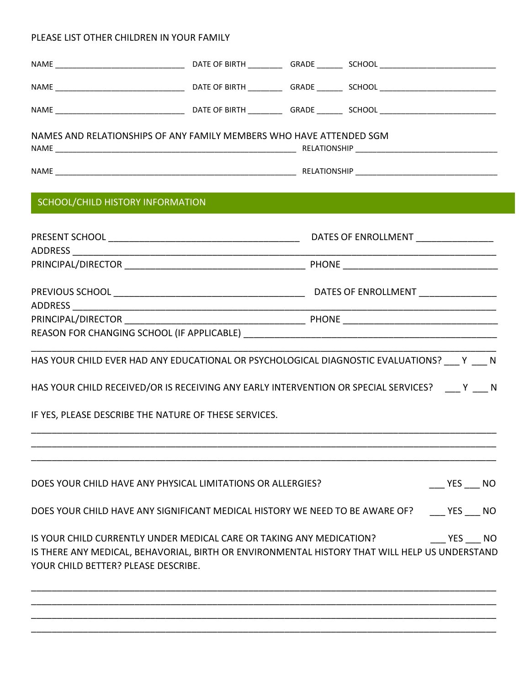#### PLEASE LIST OTHER CHILDREN IN YOUR FAMILY

| NAMES AND RELATIONSHIPS OF ANY FAMILY MEMBERS WHO HAVE ATTENDED SGM          |  |                                                                                                                                                                              |  |
|------------------------------------------------------------------------------|--|------------------------------------------------------------------------------------------------------------------------------------------------------------------------------|--|
|                                                                              |  |                                                                                                                                                                              |  |
| SCHOOL/CHILD HISTORY INFORMATION                                             |  |                                                                                                                                                                              |  |
|                                                                              |  |                                                                                                                                                                              |  |
|                                                                              |  |                                                                                                                                                                              |  |
|                                                                              |  |                                                                                                                                                                              |  |
|                                                                              |  |                                                                                                                                                                              |  |
|                                                                              |  | HAS YOUR CHILD EVER HAD ANY EDUCATIONAL OR PSYCHOLOGICAL DIAGNOSTIC EVALUATIONS? Y N                                                                                         |  |
|                                                                              |  | HAS YOUR CHILD RECEIVED/OR IS RECEIVING ANY EARLY INTERVENTION OR SPECIAL SERVICES? ___ Y ___ N                                                                              |  |
| IF YES, PLEASE DESCRIBE THE NATURE OF THESE SERVICES.                        |  |                                                                                                                                                                              |  |
|                                                                              |  |                                                                                                                                                                              |  |
| DOES YOUR CHILD HAVE ANY PHYSICAL LIMITATIONS OR ALLERGIES?                  |  | YES NO                                                                                                                                                                       |  |
| DOES YOUR CHILD HAVE ANY SIGNIFICANT MEDICAL HISTORY WE NEED TO BE AWARE OF? |  | YES NO                                                                                                                                                                       |  |
| YOUR CHILD BETTER? PLEASE DESCRIBE.                                          |  | IS YOUR CHILD CURRENTLY UNDER MEDICAL CARE OR TAKING ANY MEDICATION? YES NO<br>IS THERE ANY MEDICAL, BEHAVORIAL, BIRTH OR ENVIRONMENTAL HISTORY THAT WILL HELP US UNDERSTAND |  |
|                                                                              |  |                                                                                                                                                                              |  |

\_\_\_\_\_\_\_\_\_\_\_\_\_\_\_\_\_\_\_\_\_\_\_\_\_\_\_\_\_\_\_\_\_\_\_\_\_\_\_\_\_\_\_\_\_\_\_\_\_\_\_\_\_\_\_\_\_\_\_\_\_\_\_\_\_\_\_\_\_\_\_\_\_\_\_\_\_\_\_\_\_\_\_\_\_\_\_\_\_\_

\_\_\_\_\_\_\_\_\_\_\_\_\_\_\_\_\_\_\_\_\_\_\_\_\_\_\_\_\_\_\_\_\_\_\_\_\_\_\_\_\_\_\_\_\_\_\_\_\_\_\_\_\_\_\_\_\_\_\_\_\_\_\_\_\_\_\_\_\_\_\_\_\_\_\_\_\_\_\_\_\_\_\_\_\_\_\_\_\_\_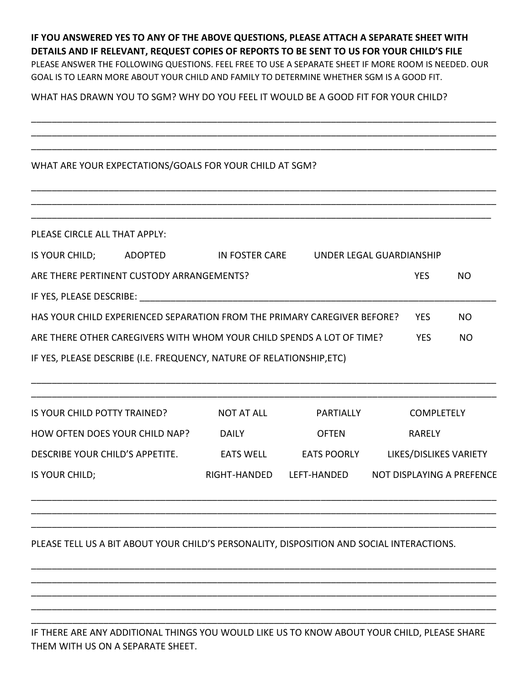### **IF YOU ANSWERED YES TO ANY OF THE ABOVE QUESTIONS, PLEASE ATTACH A SEPARATE SHEET WITH DETAILS AND IF RELEVANT, REQUEST COPIES OF REPORTS TO BE SENT TO US FOR YOUR CHILD'S FILE** PLEASE ANSWER THE FOLLOWING QUESTIONS. FEEL FREE TO USE A SEPARATE SHEET IF MORE ROOM IS NEEDED. OUR GOAL IS TO LEARN MORE ABOUT YOUR CHILD AND FAMILY TO DETERMINE WHETHER SGM IS A GOOD FIT.

\_\_\_\_\_\_\_\_\_\_\_\_\_\_\_\_\_\_\_\_\_\_\_\_\_\_\_\_\_\_\_\_\_\_\_\_\_\_\_\_\_\_\_\_\_\_\_\_\_\_\_\_\_\_\_\_\_\_\_\_\_\_\_\_\_\_\_\_\_\_\_\_\_\_\_\_\_\_\_\_\_\_\_\_\_\_\_\_\_\_ \_\_\_\_\_\_\_\_\_\_\_\_\_\_\_\_\_\_\_\_\_\_\_\_\_\_\_\_\_\_\_\_\_\_\_\_\_\_\_\_\_\_\_\_\_\_\_\_\_\_\_\_\_\_\_\_\_\_\_\_\_\_\_\_\_\_\_\_\_\_\_\_\_\_\_\_\_\_\_\_\_\_\_\_\_\_\_\_\_\_ \_\_\_\_\_\_\_\_\_\_\_\_\_\_\_\_\_\_\_\_\_\_\_\_\_\_\_\_\_\_\_\_\_\_\_\_\_\_\_\_\_\_\_\_\_\_\_\_\_\_\_\_\_\_\_\_\_\_\_\_\_\_\_\_\_\_\_\_\_\_\_\_\_\_\_\_\_\_\_\_\_\_\_\_\_\_\_\_\_\_

\_\_\_\_\_\_\_\_\_\_\_\_\_\_\_\_\_\_\_\_\_\_\_\_\_\_\_\_\_\_\_\_\_\_\_\_\_\_\_\_\_\_\_\_\_\_\_\_\_\_\_\_\_\_\_\_\_\_\_\_\_\_\_\_\_\_\_\_\_\_\_\_\_\_\_\_\_\_\_\_\_\_\_\_\_\_\_\_\_\_ \_\_\_\_\_\_\_\_\_\_\_\_\_\_\_\_\_\_\_\_\_\_\_\_\_\_\_\_\_\_\_\_\_\_\_\_\_\_\_\_\_\_\_\_\_\_\_\_\_\_\_\_\_\_\_\_\_\_\_\_\_\_\_\_\_\_\_\_\_\_\_\_\_\_\_\_\_\_\_\_\_\_\_\_\_\_\_\_\_\_

WHAT HAS DRAWN YOU TO SGM? WHY DO YOU FEEL IT WOULD BE A GOOD FIT FOR YOUR CHILD?

#### WHAT ARE YOUR EXPECTATIONS/GOALS FOR YOUR CHILD AT SGM?

| PLEASE CIRCLE ALL THAT APPLY:                                         |                                           |                                                                          |                          |            |     |
|-----------------------------------------------------------------------|-------------------------------------------|--------------------------------------------------------------------------|--------------------------|------------|-----|
| IS YOUR CHILD;                                                        | <b>ADOPTED</b>                            | IN FOSTER CARE                                                           | UNDER LEGAL GUARDIANSHIP |            |     |
|                                                                       | ARE THERE PERTINENT CUSTODY ARRANGEMENTS? |                                                                          |                          | <b>YES</b> | NO. |
| IF YES, PLEASE DESCRIBE:                                              |                                           |                                                                          |                          |            |     |
|                                                                       |                                           | HAS YOUR CHILD EXPERIENCED SEPARATION FROM THE PRIMARY CAREGIVER BEFORE? |                          | <b>YES</b> | NO. |
|                                                                       |                                           | ARE THERE OTHER CAREGIVERS WITH WHOM YOUR CHILD SPENDS A LOT OF TIME?    |                          | <b>YES</b> | NO  |
| IF YES, PLEASE DESCRIBE (I.E. FREQUENCY, NATURE OF RELATIONSHIP, ETC) |                                           |                                                                          |                          |            |     |

| IS YOUR CHILD POTTY TRAINED?    | NOT AT ALL       | PARTIALLY          | <b>COMPLETELY</b>         |
|---------------------------------|------------------|--------------------|---------------------------|
| HOW OFTEN DOES YOUR CHILD NAP?  | <b>DAILY</b>     | <b>OFTEN</b>       | <b>RARELY</b>             |
| DESCRIBE YOUR CHILD'S APPETITE. | <b>EATS WELL</b> | <b>EATS POORLY</b> | LIKES/DISLIKES VARIETY    |
| IS YOUR CHILD;                  | RIGHT-HANDED     | LEFT-HANDED        | NOT DISPLAYING A PREFENCE |

\_\_\_\_\_\_\_\_\_\_\_\_\_\_\_\_\_\_\_\_\_\_\_\_\_\_\_\_\_\_\_\_\_\_\_\_\_\_\_\_\_\_\_\_\_\_\_\_\_\_\_\_\_\_\_\_\_\_\_\_\_\_\_\_\_\_\_\_\_\_\_\_\_\_\_\_\_\_\_\_\_\_\_\_\_\_\_\_\_\_ \_\_\_\_\_\_\_\_\_\_\_\_\_\_\_\_\_\_\_\_\_\_\_\_\_\_\_\_\_\_\_\_\_\_\_\_\_\_\_\_\_\_\_\_\_\_\_\_\_\_\_\_\_\_\_\_\_\_\_\_\_\_\_\_\_\_\_\_\_\_\_\_\_\_\_\_\_\_\_\_\_\_\_\_\_\_\_\_\_\_ \_\_\_\_\_\_\_\_\_\_\_\_\_\_\_\_\_\_\_\_\_\_\_\_\_\_\_\_\_\_\_\_\_\_\_\_\_\_\_\_\_\_\_\_\_\_\_\_\_\_\_\_\_\_\_\_\_\_\_\_\_\_\_\_\_\_\_\_\_\_\_\_\_\_\_\_\_\_\_\_\_\_\_\_\_\_\_\_\_\_

\_\_\_\_\_\_\_\_\_\_\_\_\_\_\_\_\_\_\_\_\_\_\_\_\_\_\_\_\_\_\_\_\_\_\_\_\_\_\_\_\_\_\_\_\_\_\_\_\_\_\_\_\_\_\_\_\_\_\_\_\_\_\_\_\_\_\_\_\_\_\_\_\_\_\_\_\_\_\_\_\_\_\_\_\_\_\_\_\_\_ \_\_\_\_\_\_\_\_\_\_\_\_\_\_\_\_\_\_\_\_\_\_\_\_\_\_\_\_\_\_\_\_\_\_\_\_\_\_\_\_\_\_\_\_\_\_\_\_\_\_\_\_\_\_\_\_\_\_\_\_\_\_\_\_\_\_\_\_\_\_\_\_\_\_\_\_\_\_\_\_\_\_\_\_\_\_\_\_\_\_ \_\_\_\_\_\_\_\_\_\_\_\_\_\_\_\_\_\_\_\_\_\_\_\_\_\_\_\_\_\_\_\_\_\_\_\_\_\_\_\_\_\_\_\_\_\_\_\_\_\_\_\_\_\_\_\_\_\_\_\_\_\_\_\_\_\_\_\_\_\_\_\_\_\_\_\_\_\_\_\_\_\_\_\_\_\_\_\_\_\_ \_\_\_\_\_\_\_\_\_\_\_\_\_\_\_\_\_\_\_\_\_\_\_\_\_\_\_\_\_\_\_\_\_\_\_\_\_\_\_\_\_\_\_\_\_\_\_\_\_\_\_\_\_\_\_\_\_\_\_\_\_\_\_\_\_\_\_\_\_\_\_\_\_\_\_\_\_\_\_\_\_\_\_\_\_\_\_\_\_\_ \_\_\_\_\_\_\_\_\_\_\_\_\_\_\_\_\_\_\_\_\_\_\_\_\_\_\_\_\_\_\_\_\_\_\_\_\_\_\_\_\_\_\_\_\_\_\_\_\_\_\_\_\_\_\_\_\_\_\_\_\_\_\_\_\_\_\_\_\_\_\_\_\_\_\_\_\_\_\_\_\_\_\_\_\_\_\_\_\_\_

\_\_\_\_\_\_\_\_\_\_\_\_\_\_\_\_\_\_\_\_\_\_\_\_\_\_\_\_\_\_\_\_\_\_\_\_\_\_\_\_\_\_\_\_\_\_\_\_\_\_\_\_\_\_\_\_\_\_\_\_\_\_\_\_\_\_\_\_\_\_\_\_\_\_\_\_\_\_\_\_\_\_\_\_\_\_\_\_\_\_

### PLEASE TELL US A BIT ABOUT YOUR CHILD'S PERSONALITY, DISPOSITION AND SOCIAL INTERACTIONS.

IF THERE ARE ANY ADDITIONAL THINGS YOU WOULD LIKE US TO KNOW ABOUT YOUR CHILD, PLEASE SHARE THEM WITH US ON A SEPARATE SHEET.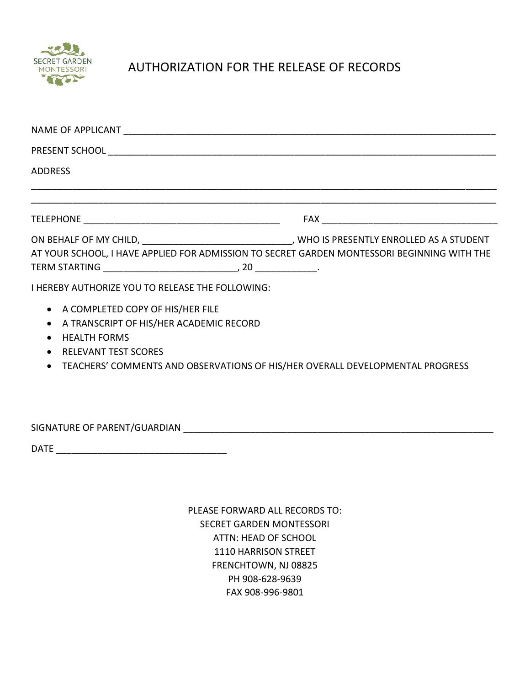

# AUTHORIZATION FOR THE RELEASE OF RECORDS

| NAME OF APPLICANT THE STATE OF STATE STATES AND THE STATE OF A STATE OF STATES OF STATES OF STATES OF STATES OF STATES OF STATES OF STATES OF STATES OF STATES OF STATES OF STATES OF STATES OF STATES OF STATES OF STATES OF |  |
|-------------------------------------------------------------------------------------------------------------------------------------------------------------------------------------------------------------------------------|--|
|                                                                                                                                                                                                                               |  |
| <b>ADDRESS</b>                                                                                                                                                                                                                |  |
|                                                                                                                                                                                                                               |  |
| AT YOUR SCHOOL, I HAVE APPLIED FOR ADMISSION TO SECRET GARDEN MONTESSORI BEGINNING WITH THE<br>I HEREBY AUTHORIZE YOU TO RELEASE THE FOLLOWING:                                                                               |  |
| • A COMPLETED COPY OF HIS/HER FILE<br>A TRANSCRIPT OF HIS/HER ACADEMIC RECORD<br><b>HEALTH FORMS</b><br><b>RELEVANT TEST SCORES</b><br>TEACHERS' COMMENTS AND OBSERVATIONS OF HIS/HER OVERALL DEVELOPMENTAL PROGRESS          |  |

SIGNATURE OF PARENT/GUARDIAN \_\_\_\_\_\_\_\_\_\_\_\_\_\_\_\_\_\_\_\_\_\_\_\_\_\_\_\_\_\_\_\_\_\_\_\_\_\_\_\_\_\_\_\_\_\_\_\_\_\_\_\_\_\_\_\_\_\_\_\_

DATE \_\_\_\_\_\_\_\_\_\_\_\_\_\_\_\_\_\_\_\_\_\_\_\_\_\_\_\_\_\_\_\_\_

PLEASE FORWARD ALL RECORDS TO: SECRET GARDEN MONTESSORI ATTN: HEAD OF SCHOOL 1110 HARRISON STREET FRENCHTOWN, NJ 08825 PH 908-628-9639 FAX 908-996-9801